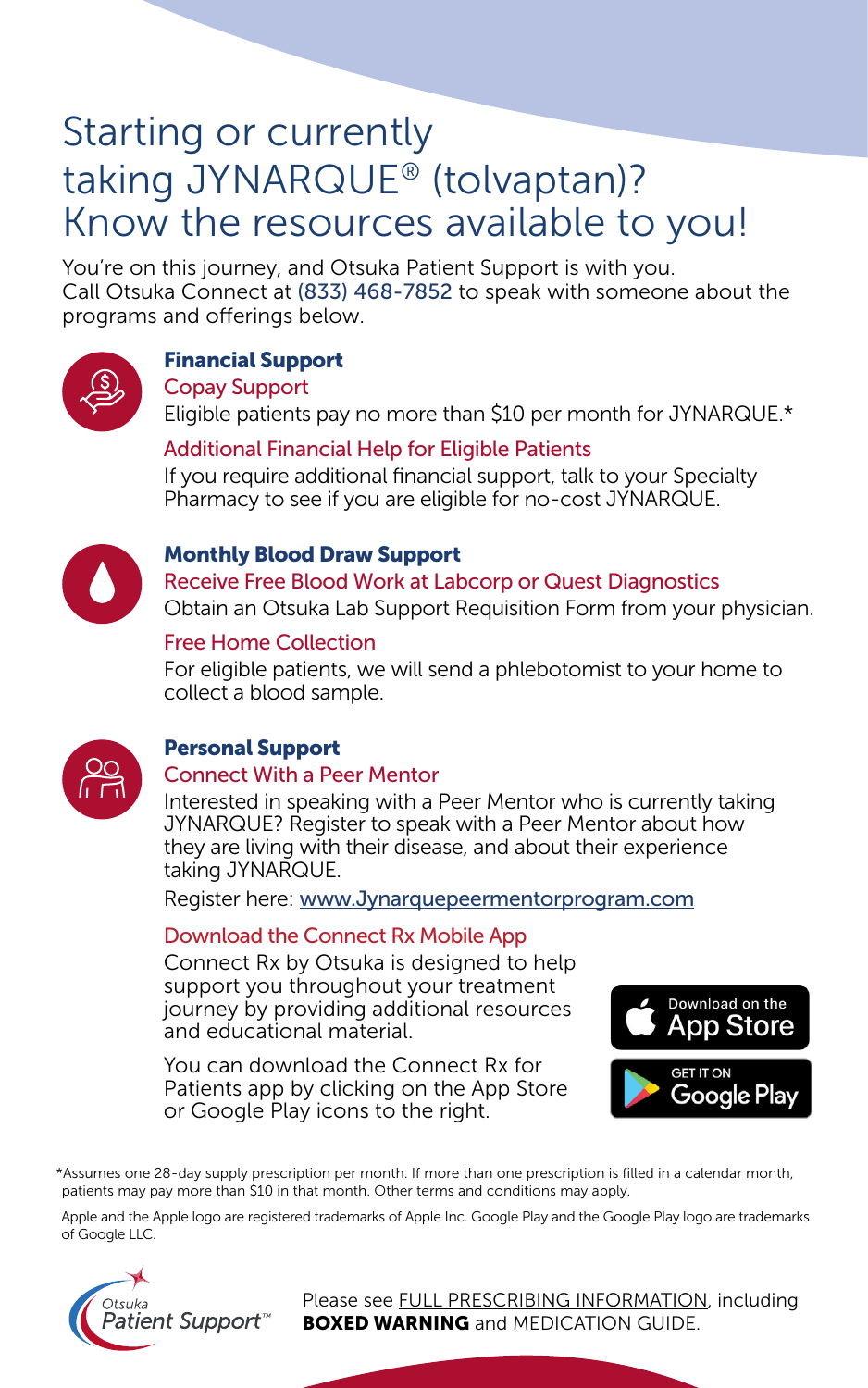## Starting or currently taking JYNARQUE® (tolvaptan)? Know the resources available to you!

You're on this journey, and Otsuka Patient Support is with you. Call Otsuka Connect at (833) 468-7852 to speak with someone about the programs and offerings below.



## Financial Support

Copay Support

Eligible patients pay no more than \$10 per month for JYNARQUE.\*

#### Additional Financial Help for Eligible Patients

If you require additional financial support, talk to your Specialty Pharmacy to see if you are eligible for no-cost JYNARQUE.



#### Monthly Blood Draw Support

Receive Free Blood Work at Labcorp or Quest Diagnostics Obtain an Otsuka Lab Support Requisition Form from your physician.

## Free Home Collection

For eligible patients, we will send a phlebotomist to your home to collect a blood sample.



## Personal Support

#### Connect With a Peer Mentor

Interested in speaking with a Peer Mentor who is currently taking JYNARQUE? Register to speak with a Peer Mentor about how they are living with their disease, and about their experience taking JYNARQUE.

Register here: [www.Jynarquepeermentorprogram.com](https://www.adpkdpeermentorprogram.com/)

#### Download the Connect Rx Mobile App

Connect Rx by Otsuka is designed to help support you throughout your treatment journey by providing additional resources and educational material.

You can download the Connect Rx for Patients app by clicking on the App Store or Google Play icons to the right.



\*Assumes one 28-day supply prescription per month. If more than one prescription is filled in a calendar month, patients may pay more than \$10 in that month. Other terms and conditions may apply.

Apple and the Apple logo are registered trademarks of Apple Inc. Google Play and the Google Play logo are trademarks of Google LLC.



Please see [FULL PRESCRIBING INFORMATION,](https://www.otsuka-us.com/sites/g/files/qhldwo3916/files/media/static/JYNARQUE-PI.pdf) including **BOXED WARNING** and [MEDICATION GUIDE.](https://www.otsuka-us.com/sites/g/files/qhldwo3916/files/media/static/JYNARQUE-Medguide.pdf)